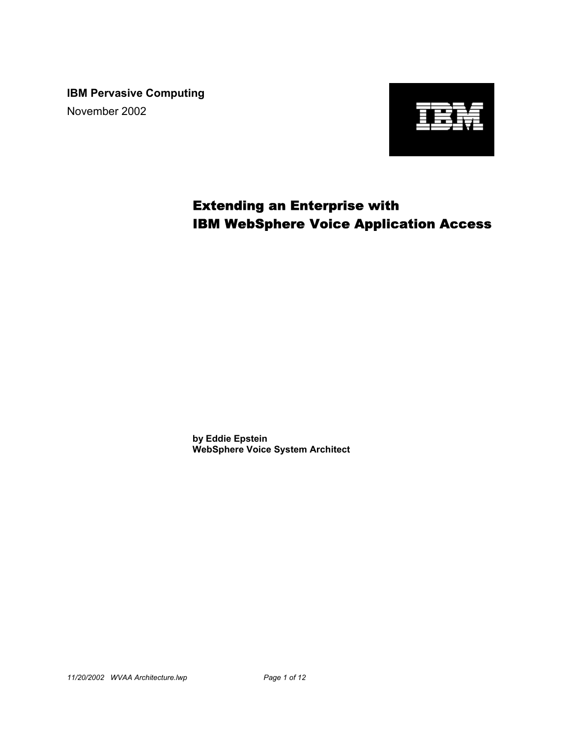**IBM Pervasive Computing** November 2002



# Extending an Enterprise with IBM WebSphere Voice Application Access

**by Eddie Epstein WebSphere Voice System Architect**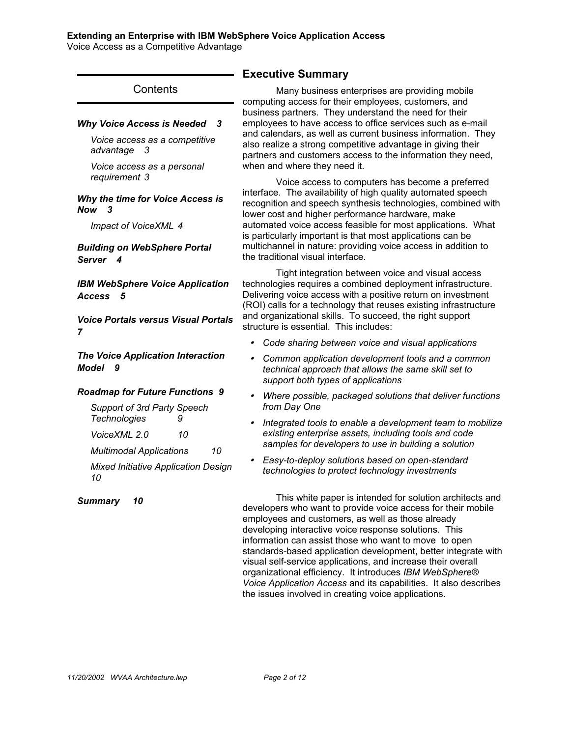Voice Access as a Competitive Advantage

|                                                                                                                                                                                                                    | <b>Executive</b>                                                                                                                  |
|--------------------------------------------------------------------------------------------------------------------------------------------------------------------------------------------------------------------|-----------------------------------------------------------------------------------------------------------------------------------|
| Contents                                                                                                                                                                                                           | Many<br>computing ac                                                                                                              |
| <b>Why Voice Access is Needed</b><br>- 3<br>Voice access as a competitive<br>advantage<br>- 3<br>Voice access as a personal<br>requirement 3                                                                       | business part<br>employees to<br>and calendars<br>also realize a<br>partners and<br>when and wh                                   |
| Why the time for Voice Access is<br>Now 3<br>Impact of VoiceXML 4<br><b>Building on WebSphere Portal</b><br>Server<br>4                                                                                            | Voice<br>interface. The<br>recognition ar<br>lower cost and<br>automated vo<br>is particularly<br>multichannel<br>the traditional |
| <b>IBM WebSphere Voice Application</b><br><b>Access</b><br>5<br><b>Voice Portals versus Visual Portals</b>                                                                                                         | Tight<br>technologies<br>Delivering voi<br>(ROI) calls for<br>and organizat<br>structure is es                                    |
| 7<br><b>The Voice Application Interaction</b><br>Model<br>- 9                                                                                                                                                      | Code sh<br>Commor<br>technica                                                                                                     |
| <b>Roadmap for Future Functions 9</b><br>Support of 3rd Party Speech<br><b>Technologies</b><br>9<br>VoiceXML 2.0<br>10<br><b>Multimodal Applications</b><br>10<br><b>Mixed Initiative Application Design</b><br>10 | support l<br>Where p<br>from Day<br>Integrate<br>existing<br>samples<br>Easy-to-<br>technolo                                      |
| 10<br><b>Summary</b>                                                                                                                                                                                               | ۲his ۱<br>developers w<br>employees ar<br>developing in<br>information ca<br>standards-bas<br>visual self-ser                     |

## **Summary**

business enterprises are providing mobile cess for their employees, customers, and ners. They understand the need for their have access to office services such as e-mail s, as well as current business information. They strong competitive advantage in giving their customers access to the information they need, ere they need it.

access to computers has become a preferred e availability of high quality automated speech nd speech synthesis technologies, combined with d higher performance hardware, make bice access feasible for most applications. What important is that most applications can be in nature: providing voice access in addition to visual interface.

integration between voice and visual access requires a combined deployment infrastructure. ice access with a positive return on investment r a technology that reuses existing infrastructure tional skills. To succeed, the right support ssential. This includes:

- *Code sharing between voice and visual applications*
- *Common application development tools and a common I* approach that allows the same skill set to *support both types of applications*
- *Where possible, packaged solutions that deliver functions from Day One*
- *<i>Integrate to enable a development team to mobilize* enterprise assets, including tools and code for developers to use in building a solution
- *Easy-to-deploy solutions based on open-standard technologies to protect technology investments*

white paper is intended for solution architects and ho want to provide voice access for their mobile nd customers, as well as those already teractive voice response solutions. This an assist those who want to move to open sed application development, better integrate with rvice applications, and increase their overall organizational efficiency. It introduces *IBM WebSphere® Voice Application Access* and its capabilities. It also describes the issues involved in creating voice applications.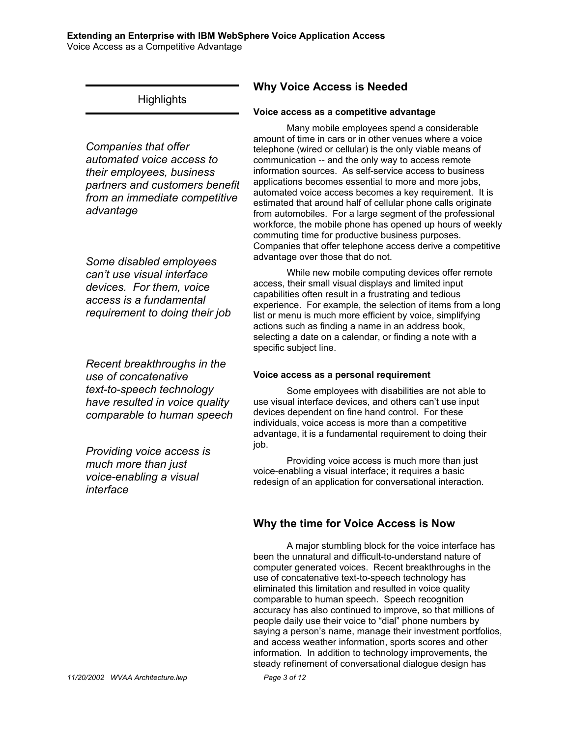#### **Extending an Enterprise with IBM WebSphere Voice Application Access** Voice Access as a Competitive Advantage

# **Highlights**

*Companies that offer automated voice access to their employees, business partners and customers benefit from an immediate competitive advantage*

*Some disabled employees can't use visual interface devices. For them, voice access is a fundamental requirement to doing their job*

*Recent breakthroughs in the use of concatenative text-to-speech technology have resulted in voice quality comparable to human speech*

*Providing voice access is much more than just voice-enabling a visual interface*

# **Why Voice Access is Needed**

## **Voice access as a competitive advantage**

Many mobile employees spend a considerable amount of time in cars or in other venues where a voice telephone (wired or cellular) is the only viable means of communication -- and the only way to access remote information sources. As self-service access to business applications becomes essential to more and more jobs, automated voice access becomes a key requirement. It is estimated that around half of cellular phone calls originate from automobiles. For a large segment of the professional workforce, the mobile phone has opened up hours of weekly commuting time for productive business purposes. Companies that offer telephone access derive a competitive advantage over those that do not.

While new mobile computing devices offer remote access, their small visual displays and limited input capabilities often result in a frustrating and tedious experience. For example, the selection of items from a long list or menu is much more efficient by voice, simplifying actions such as finding a name in an address book, selecting a date on a calendar, or finding a note with a specific subject line.

## **Voice access as a personal requirement**

Some employees with disabilities are not able to use visual interface devices, and others can't use input devices dependent on fine hand control. For these individuals, voice access is more than a competitive advantage, it is a fundamental requirement to doing their job.

Providing voice access is much more than just voice-enabling a visual interface; it requires a basic redesign of an application for conversational interaction.

# **Why the time for Voice Access is Now**

A major stumbling block for the voice interface has been the unnatural and difficult-to-understand nature of computer generated voices. Recent breakthroughs in the use of concatenative text-to-speech technology has eliminated this limitation and resulted in voice quality comparable to human speech. Speech recognition accuracy has also continued to improve, so that millions of people daily use their voice to "dial" phone numbers by saying a person's name, manage their investment portfolios, and access weather information, sports scores and other information. In addition to technology improvements, the steady refinement of conversational dialogue design has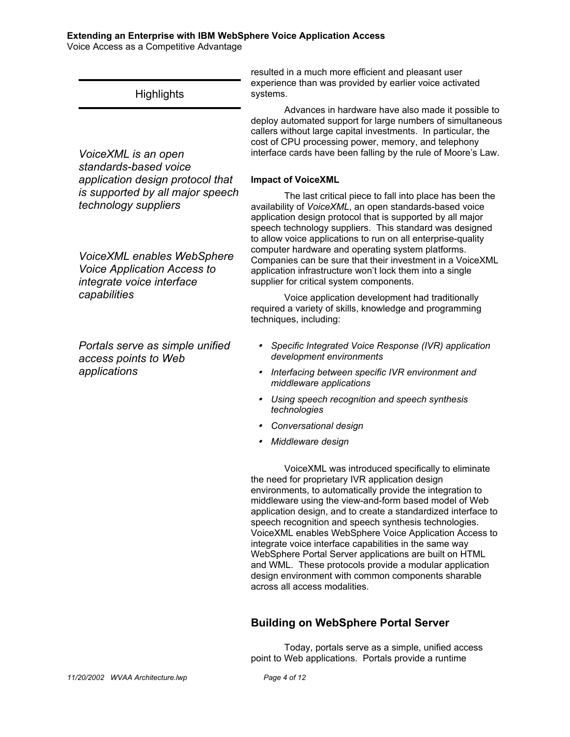Voice Access as a Competitive Advantage

systems. **Highlights** *VoiceXML is an open standards-based voice application design protocol that is supported by all major speech technology suppliers VoiceXML enables WebSphere Voice Application Access to integrate voice interface capabilities Portals serve as simple unified access points to Web applications*

## **Building on WebSphere Portal Server**

Today, portals serve as a simple, unified access point to Web applications. Portals provide a runtime

resulted in a much more efficient and pleasant user experience than was provided by earlier voice activated

Advances in hardware have also made it possible to deploy automated support for large numbers of simultaneous callers without large capital investments. In particular, the cost of CPU processing power, memory, and telephony interface cards have been falling by the rule of Moore's Law.

#### **Impact of VoiceXML**

The last critical piece to fall into place has been the availability of *VoiceXML*, an open standards-based voice application design protocol that is supported by all major speech technology suppliers. This standard was designed to allow voice applications to run on all enterprise-quality computer hardware and operating system platforms. Companies can be sure that their investment in a VoiceXML application infrastructure won't lock them into a single supplier for critical system components.

Voice application development had traditionally required a variety of skills, knowledge and programming techniques, including:

- y *Specific Integrated Voice Response (IVR) application development environments*
- **•** Interfacing between specific IVR environment and *middleware applications*
- y *Using speech recognition and speech synthesis technologies*
- y *Conversational design*
- y *Middleware design*

VoiceXML was introduced specifically to eliminate the need for proprietary IVR application design environments, to automatically provide the integration to middleware using the view-and-form based model of Web application design, and to create a standardized interface to speech recognition and speech synthesis technologies. VoiceXML enables WebSphere Voice Application Access to integrate voice interface capabilities in the same way WebSphere Portal Server applications are built on HTML and WML. These protocols provide a modular application design environment with common components sharable across all access modalities.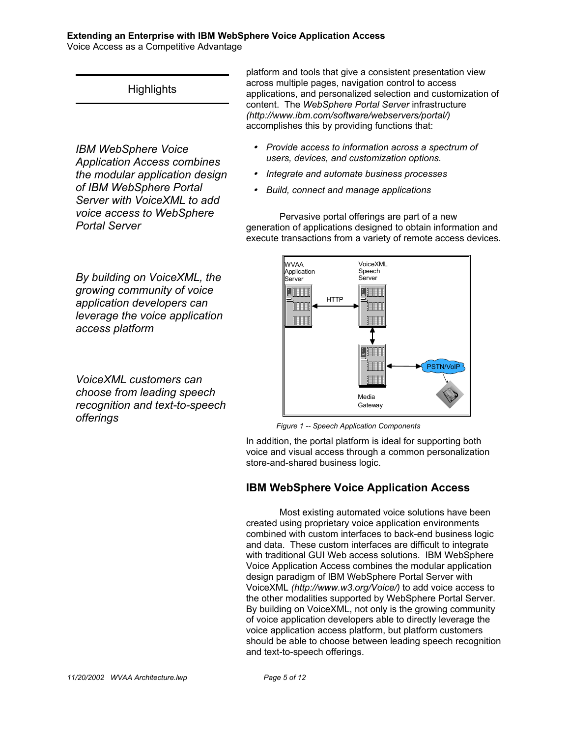Voice Access as a Competitive Advantage

# **Highlights**

*IBM WebSphere Voice Application Access combines the modular application design of IBM WebSphere Portal Server with VoiceXML to add voice access to WebSphere Portal Server*

platform and tools that give a consistent presentation view across multiple pages, navigation control to access applications, and personalized selection and customization of content. The *WebSphere Portal Server* infrastructure *(http://www.ibm.com/software/webservers/portal/)*  accomplishes this by providing functions that:

- y *Provide access to information across a spectrum of users, devices, and customization options.*
- y *Integrate and automate business processes*
- y *Build, connect and manage applications*

Pervasive portal offerings are part of a new generation of applications designed to obtain information and execute transactions from a variety of remote access devices.

*By building on VoiceXML, the growing community of voice application developers can leverage the voice application access platform* 

*VoiceXML customers can choose from leading speech recognition and text-to-speech offerings*

# **PSTN/Voll** WVAA Application Server HTTP VoiceXML Speech Server Media **Gateway**

*Figure 1 -- Speech Application Components*

In addition, the portal platform is ideal for supporting both voice and visual access through a common personalization store-and-shared business logic.

## **IBM WebSphere Voice Application Access**

Most existing automated voice solutions have been created using proprietary voice application environments combined with custom interfaces to back-end business logic and data. These custom interfaces are difficult to integrate with traditional GUI Web access solutions. IBM WebSphere Voice Application Access combines the modular application design paradigm of IBM WebSphere Portal Server with VoiceXML *(http://www.w3.org/Voice/)* to add voice access to the other modalities supported by WebSphere Portal Server. By building on VoiceXML, not only is the growing community of voice application developers able to directly leverage the voice application access platform, but platform customers should be able to choose between leading speech recognition and text-to-speech offerings.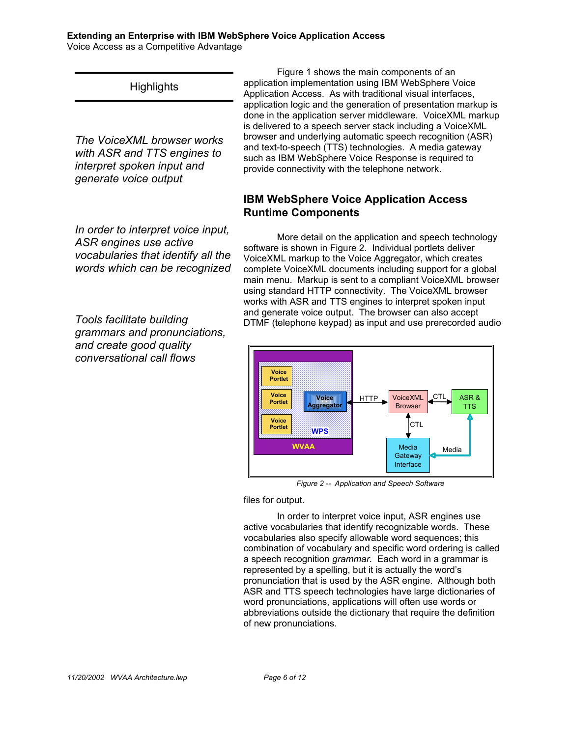Voice Access as a Competitive Advantage

# **Highlights**

*The VoiceXML browser works with ASR and TTS engines to interpret spoken input and generate voice output*

*In order to interpret voice input, ASR engines use active vocabularies that identify all the words which can be recognized*

*Tools facilitate building grammars and pronunciations, and create good quality conversational call flows*

Figure 1 shows the main components of an application implementation using IBM WebSphere Voice Application Access. As with traditional visual interfaces, application logic and the generation of presentation markup is done in the application server middleware. VoiceXML markup is delivered to a speech server stack including a VoiceXML browser and underlying automatic speech recognition (ASR) and text-to-speech (TTS) technologies. A media gateway such as IBM WebSphere Voice Response is required to provide connectivity with the telephone network.

# **IBM WebSphere Voice Application Access Runtime Components**

More detail on the application and speech technology software is shown in Figure 2. Individual portlets deliver VoiceXML markup to the Voice Aggregator, which creates complete VoiceXML documents including support for a global main menu. Markup is sent to a compliant VoiceXML browser using standard HTTP connectivity. The VoiceXML browser works with ASR and TTS engines to interpret spoken input and generate voice output. The browser can also accept DTMF (telephone keypad) as input and use prerecorded audio



*Figure 2 -- Application and Speech Software*

files for output.

In order to interpret voice input, ASR engines use active vocabularies that identify recognizable words. These vocabularies also specify allowable word sequences; this combination of vocabulary and specific word ordering is called a speech recognition *grammar.* Each word in a grammar is represented by a spelling, but it is actually the word's pronunciation that is used by the ASR engine. Although both ASR and TTS speech technologies have large dictionaries of word pronunciations, applications will often use words or abbreviations outside the dictionary that require the definition of new pronunciations.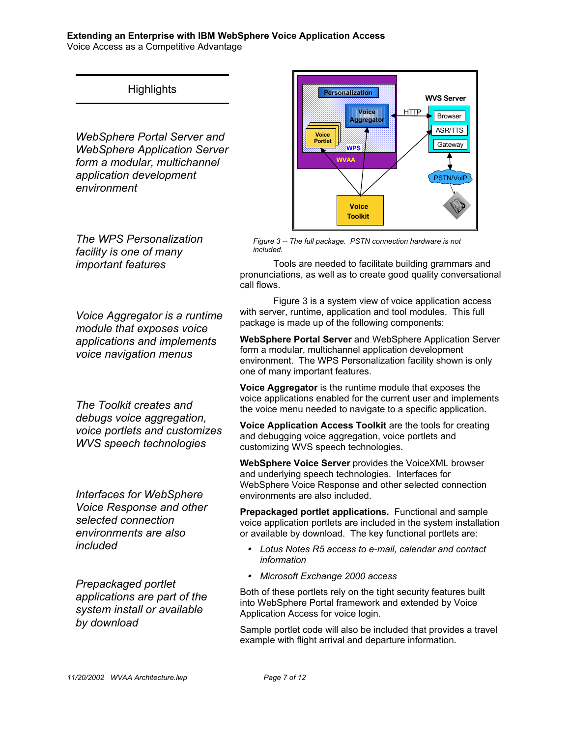Voice Access as a Competitive Advantage

# **Highlights**

*WebSphere Portal Server and WebSphere Application Server form a modular, multichannel application development environment* 

*The WPS Personalization facility is one of many important features*

*Voice Aggregator is a runtime module that exposes voice applications and implements voice navigation menus* 

*The Toolkit creates and debugs voice aggregation, voice portlets and customizes WVS speech technologies*

*Interfaces for WebSphere Voice Response and other selected connection environments are also included*

*Prepackaged portlet applications are part of the system install or available by download*



*Figure 3 -- The full package. PSTN connection hardware is not included.*

Tools are needed to facilitate building grammars and pronunciations, as well as to create good quality conversational call flows.

Figure 3 is a system view of voice application access with server, runtime, application and tool modules. This full package is made up of the following components:

**WebSphere Portal Server** and WebSphere Application Server form a modular, multichannel application development environment. The WPS Personalization facility shown is only one of many important features.

**Voice Aggregator** is the runtime module that exposes the voice applications enabled for the current user and implements the voice menu needed to navigate to a specific application.

**Voice Application Access Toolkit** are the tools for creating and debugging voice aggregation, voice portlets and customizing WVS speech technologies.

**WebSphere Voice Server** provides the VoiceXML browser and underlying speech technologies. Interfaces for WebSphere Voice Response and other selected connection environments are also included.

**Prepackaged portlet applications.** Functional and sample voice application portlets are included in the system installation or available by download. The key functional portlets are:

- y *Lotus Notes R5 access to e-mail, calendar and contact information*
- y *Microsoft Exchange 2000 access*

Both of these portlets rely on the tight security features built into WebSphere Portal framework and extended by Voice Application Access for voice login.

Sample portlet code will also be included that provides a travel example with flight arrival and departure information.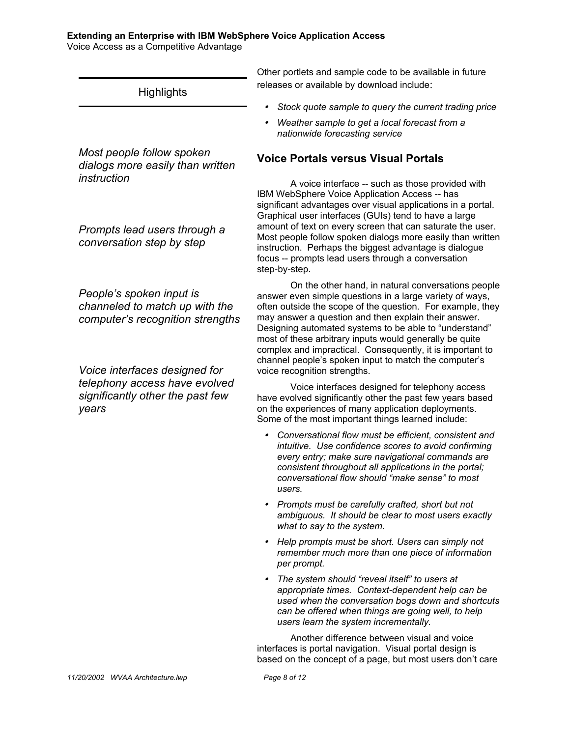Voice Access as a Competitive Advantage

**Highlights** 

*Most people follow spoken dialogs more easily than written instruction*

*Prompts lead users through a conversation step by step*

*People's spoken input is channeled to match up with the computer's recognition strengths*

*Voice interfaces designed for telephony access have evolved significantly other the past few years*

Other portlets and sample code to be available in future releases or available by download include:

- $\bullet$ *Stock quote sample to query the current trading price*
- $\bullet$  *Weather sample to get a local forecast from a nationwide forecasting service*

## **Voice Portals versus Visual Portals**

A voice interface -- such as those provided with IBM WebSphere Voice Application Access -- has significant advantages over visual applications in a portal. Graphical user interfaces (GUIs) tend to have a large amount of text on every screen that can saturate the user. Most people follow spoken dialogs more easily than written instruction. Perhaps the biggest advantage is dialogue focus -- prompts lead users through a conversation step-by-step.

On the other hand, in natural conversations people answer even simple questions in a large variety of ways, often outside the scope of the question. For example, they may answer a question and then explain their answer. Designing automated systems to be able to "understand" most of these arbitrary inputs would generally be quite complex and impractical. Consequently, it is important to channel people's spoken input to match the computer's voice recognition strengths.

Voice interfaces designed for telephony access have evolved significantly other the past few years based on the experiences of many application deployments. Some of the most important things learned include:

- y *Conversational flow must be efficient, consistent and intuitive. Use confidence scores to avoid confirming every entry; make sure navigational commands are consistent throughout all applications in the portal; conversational flow should "make sense" to most users.*
- y *Prompts must be carefully crafted, short but not ambiguous. It should be clear to most users exactly what to say to the system.*
- y *Help prompts must be short. Users can simply not remember much more than one piece of information per prompt.*
- y *The system should "reveal itself" to users at appropriate times. Context-dependent help can be used when the conversation bogs down and shortcuts can be offered when things are going well, to help users learn the system incrementally.*

Another difference between visual and voice interfaces is portal navigation. Visual portal design is based on the concept of a page, but most users don't care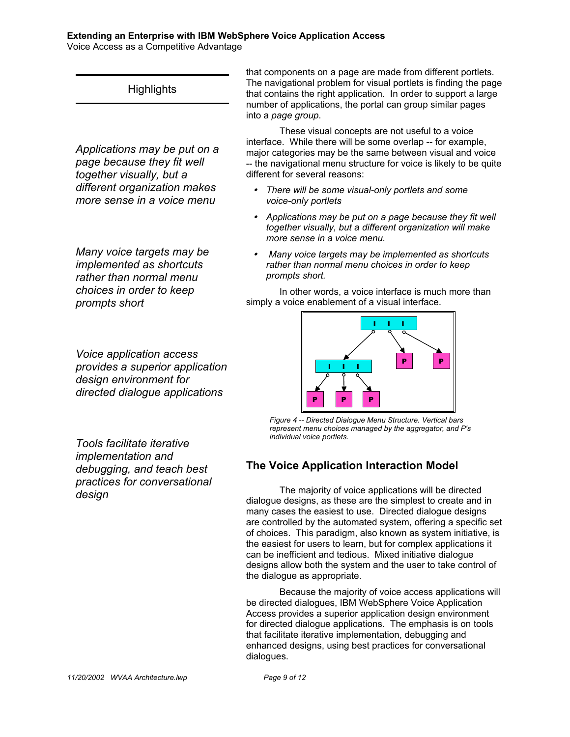Voice Access as a Competitive Advantage

# **Highlights**

*Applications may be put on a page because they fit well together visually, but a different organization makes more sense in a voice menu*

*Many voice targets may be implemented as shortcuts rather than normal menu choices in order to keep prompts short*

*Voice application access provides a superior application design environment for directed dialogue applications*

*Tools facilitate iterative implementation and debugging, and teach best practices for conversational design*

that components on a page are made from different portlets. The navigational problem for visual portlets is finding the page that contains the right application. In order to support a large number of applications, the portal can group similar pages into a *page group*.

These visual concepts are not useful to a voice interface. While there will be some overlap -- for example, major categories may be the same between visual and voice -- the navigational menu structure for voice is likely to be quite different for several reasons:

- y *There will be some visual-only portlets and some voice-only portlets*
- Applications may be put on a page because they fit well *together visually, but a different organization will make more sense in a voice menu.*
- <sup>y</sup> *Many voice targets may be implemented as shortcuts rather than normal menu choices in order to keep prompts short.*

In other words, a voice interface is much more than simply a voice enablement of a visual interface.



*Figure 4 -- Directed Dialogue Menu Structure. Vertical bars represent menu choices managed by the aggregator, and P's individual voice portlets.*

# **The Voice Application Interaction Model**

The majority of voice applications will be directed dialogue designs, as these are the simplest to create and in many cases the easiest to use. Directed dialogue designs are controlled by the automated system, offering a specific set of choices. This paradigm, also known as system initiative, is the easiest for users to learn, but for complex applications it can be inefficient and tedious. Mixed initiative dialogue designs allow both the system and the user to take control of the dialogue as appropriate.

Because the majority of voice access applications will be directed dialogues, IBM WebSphere Voice Application Access provides a superior application design environment for directed dialogue applications. The emphasis is on tools that facilitate iterative implementation, debugging and enhanced designs, using best practices for conversational dialogues.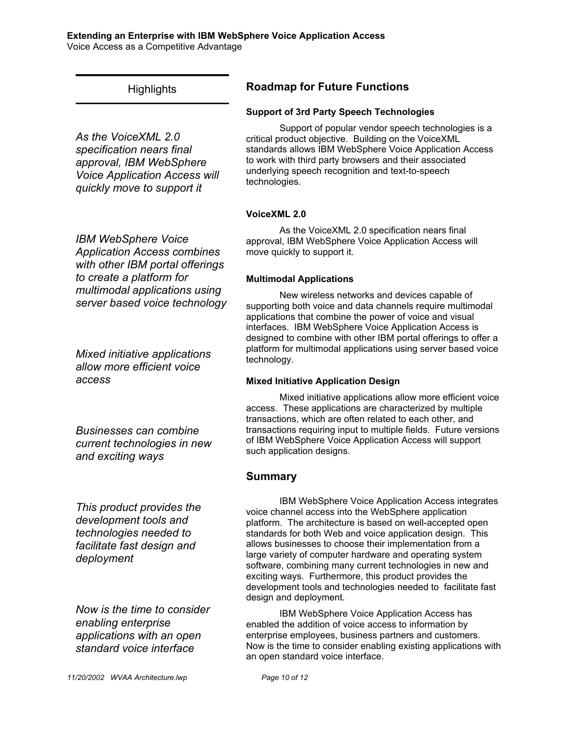#### **Extending an Enterprise with IBM WebSphere Voice Application Access** Voice Access as a Competitive Advantage

# **Highlights**

*As the VoiceXML 2.0 specification nears final approval, IBM WebSphere Voice Application Access will quickly move to support it*

*IBM WebSphere Voice Application Access combines with other IBM portal offerings to create a platform for multimodal applications using server based voice technology*

*Mixed initiative applications allow more efficient voice access*

*Businesses can combine current technologies in new and exciting ways*

*This product provides the development tools and technologies needed to facilitate fast design and deployment*

*Now is the time to consider enabling enterprise applications with an open standard voice interface*

# **Roadmap for Future Functions**

## **Support of 3rd Party Speech Technologies**

Support of popular vendor speech technologies is a critical product objective. Building on the VoiceXML standards allows IBM WebSphere Voice Application Access to work with third party browsers and their associated underlying speech recognition and text-to-speech technologies.

## **VoiceXML 2.0**

As the VoiceXML 2.0 specification nears final approval, IBM WebSphere Voice Application Access will move quickly to support it.

## **Multimodal Applications**

New wireless networks and devices capable of supporting both voice and data channels require multimodal applications that combine the power of voice and visual interfaces. IBM WebSphere Voice Application Access is designed to combine with other IBM portal offerings to offer a platform for multimodal applications using server based voice technology.

## **Mixed Initiative Application Design**

Mixed initiative applications allow more efficient voice access. These applications are characterized by multiple transactions, which are often related to each other, and transactions requiring input to multiple fields. Future versions of IBM WebSphere Voice Application Access will support such application designs.

## **Summary**

IBM WebSphere Voice Application Access integrates voice channel access into the WebSphere application platform. The architecture is based on well-accepted open standards for both Web and voice application design. This allows businesses to choose their implementation from a large variety of computer hardware and operating system software, combining many current technologies in new and exciting ways. Furthermore, this product provides the development tools and technologies needed to facilitate fast design and deployment.

IBM WebSphere Voice Application Access has enabled the addition of voice access to information by enterprise employees, business partners and customers. Now is the time to consider enabling existing applications with an open standard voice interface.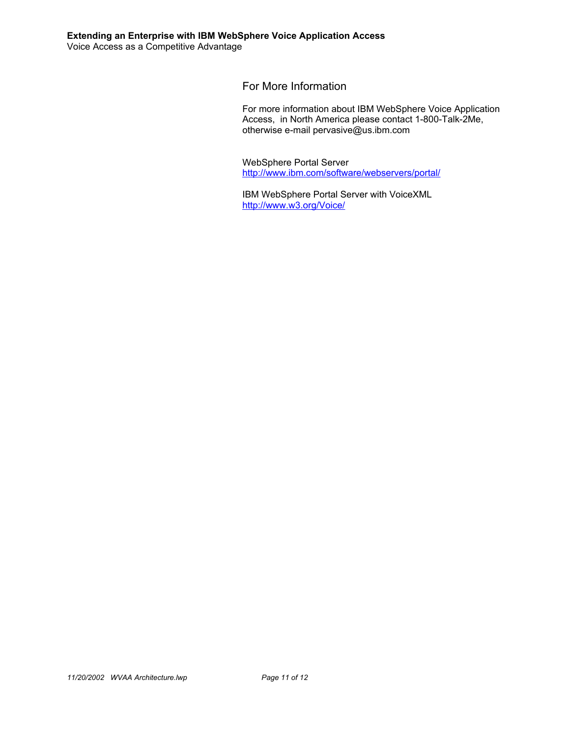For More Information

For more information about IBM WebSphere Voice Application Access, in North America please contact 1-800-Talk-2Me, otherwise e-mail pervasive@us.ibm.com

WebSphere Portal Server http://www.ibm.com/software/webservers/portal/

IBM WebSphere Portal Server with VoiceXML http://www.w3.org/Voice/